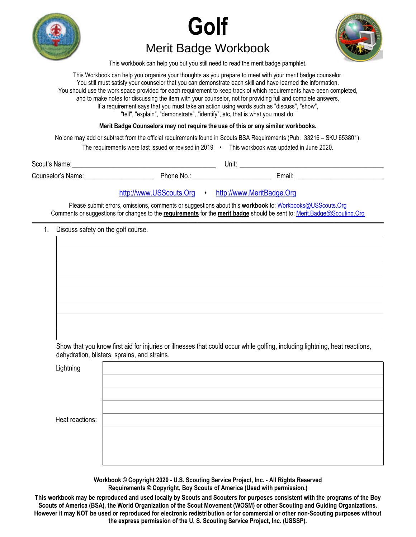





This workbook can help you but you still need to read the merit badge pamphlet.

This Workbook can help you organize your thoughts as you prepare to meet with your merit badge counselor. You still must satisfy your counselor that you can demonstrate each skill and have learned the information. You should use the work space provided for each requirement to keep track of which requirements have been completed, and to make notes for discussing the item with your counselor, not for providing full and complete answers. If a requirement says that you must take an action using words such as "discuss", "show", "tell", "explain", "demonstrate", "identify", etc, that is what you must do.

**Merit Badge Counselors may not require the use of this or any similar workbooks.**

No one may add or subtract from the official requirements found in Scouts BSA Requirements (Pub. 33216 – SKU 653801).

The requirements were last issued or revised in  $2019$  • This workbook was updated in June 2020.

Scout's Name: \_\_\_\_\_\_\_\_\_\_\_\_\_\_\_\_\_\_\_\_\_\_\_\_\_\_\_\_\_\_\_\_\_\_\_\_\_\_\_\_\_\_ Unit: \_\_\_\_\_\_\_\_\_\_\_\_\_\_\_\_\_\_\_\_\_\_\_\_\_\_\_\_\_\_\_\_\_\_\_\_\_\_\_\_\_\_ Counselor's Name: \_\_\_\_\_\_\_\_\_\_\_\_\_\_\_\_\_\_\_\_ Phone No.: \_\_\_\_\_\_\_\_\_\_\_\_\_\_\_\_\_\_\_\_\_\_\_ Email: \_\_\_\_\_\_\_\_\_\_\_\_\_\_\_\_\_\_\_\_\_\_\_\_\_

# http://www.USScouts.Org • http://www.MeritBadge.Org

Please submit errors, omissions, comments or suggestions about this **workbook** to: Workbooks@USScouts.Org Comments or suggestions for changes to the **requirements** for the **merit badge** should be sent to: Merit.Badge@Scouting.Org *\_\_\_\_\_\_\_\_\_\_\_\_\_\_\_\_\_\_\_\_\_\_\_\_\_\_\_\_\_\_\_\_\_\_\_\_\_\_\_\_\_\_\_\_\_\_\_\_\_\_\_\_\_\_\_\_\_\_\_\_\_\_\_\_\_\_\_\_\_\_\_\_\_\_\_\_\_\_\_\_\_\_\_\_\_\_\_\_\_\_\_\_\_\_\_\_\_\_\_\_\_\_\_\_\_\_\_\_\_\_\_\_\_\_\_\_\_\_\_\_\_\_\_\_\_\_\_\_\_\_\_\_\_\_\_\_\_\_\_\_\_\_* 

#### 1. Discuss safety on the golf course.

Show that you know first aid for injuries or illnesses that could occur while golfing, including lightning, heat reactions, dehydration, blisters, sprains, and strains.

**Lightning** 

Heat reactions:

**Workbook © Copyright 2020 - U.S. Scouting Service Project, Inc. - All Rights Reserved Requirements © Copyright, Boy Scouts of America (Used with permission.)** 

**This workbook may be reproduced and used locally by Scouts and Scouters for purposes consistent with the programs of the Boy Scouts of America (BSA), the World Organization of the Scout Movement (WOSM) or other Scouting and Guiding Organizations. However it may NOT be used or reproduced for electronic redistribution or for commercial or other non-Scouting purposes without the express permission of the U. S. Scouting Service Project, Inc. (USSSP).**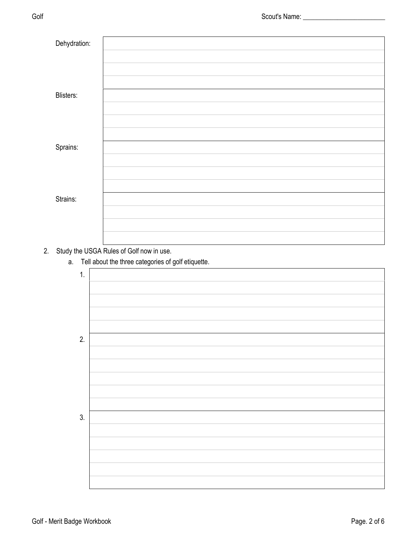| Dehydration: |  |
|--------------|--|
|              |  |
|              |  |
|              |  |
|              |  |
| Blisters:    |  |
|              |  |
|              |  |
|              |  |
|              |  |
|              |  |
| Sprains:     |  |
|              |  |
|              |  |
|              |  |
|              |  |
| Strains:     |  |
|              |  |
|              |  |
|              |  |
|              |  |

# 2. Study the USGA Rules of Golf now in use.

a. Tell about the three categories of golf etiquette.

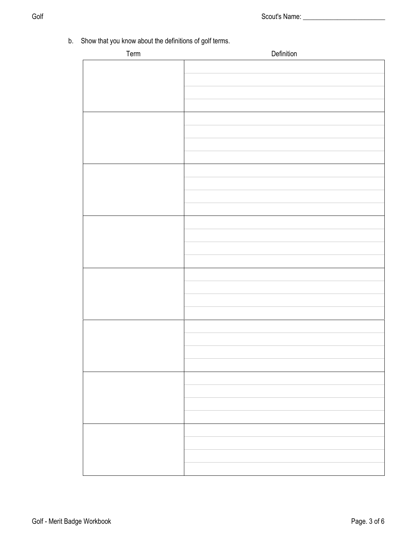b. Show that you know about the definitions of golf terms.

| Term | Definition |
|------|------------|
|      |            |
|      |            |
|      |            |
|      |            |
|      |            |
|      |            |
|      |            |
|      |            |
|      |            |
|      |            |
|      |            |
|      |            |
|      |            |
|      |            |
|      |            |
|      |            |
|      |            |
|      |            |
|      |            |
|      |            |
|      |            |
|      |            |
|      |            |
|      |            |
|      |            |
|      |            |
|      |            |
|      |            |
|      |            |
|      |            |
|      |            |
|      |            |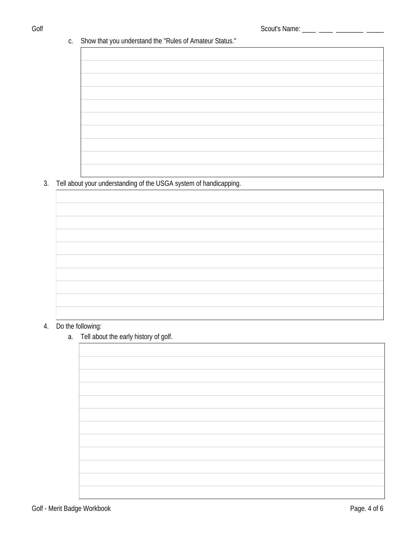## c. Show that you understand the "Rules of Amateur Status."

# 3. Tell about your understanding of the USGA system of handicapping.

## 4. Do the following:

## a. Tell about the early history of golf.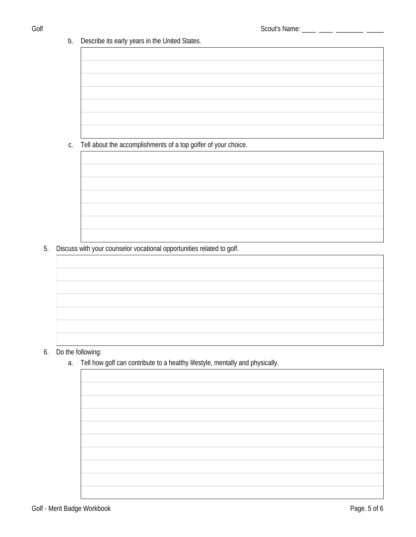b. Describe its early years in the United States.

Tell about the accomplishments of a top golfer of your choice. C.

- 5. Discuss with your counselor vocational opportunities related to golf.
	-
- 6. Do the following:
	- Tell how golf can contribute to a healthy lifestyle, mentally and physically. a.